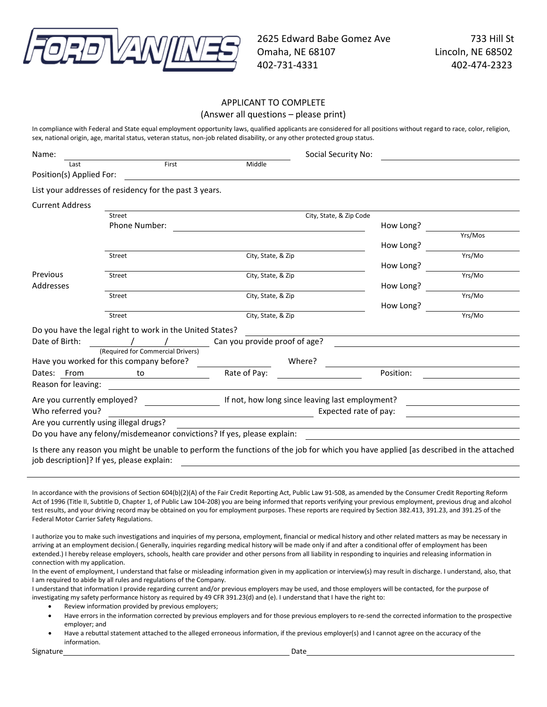

# APPLICANT TO COMPLETE

(Answer all questions – please print)

In compliance with Federal and State equal employment opportunity laws, qualified applicants are considered for all positions without regard to race, color, religion, sex, national origin, age, marital status, veteran status, non-job related disability, or any other protected group status.

| Name:                       |                                                                                                                                     |                               | Social Security No:                             |           |         |
|-----------------------------|-------------------------------------------------------------------------------------------------------------------------------------|-------------------------------|-------------------------------------------------|-----------|---------|
| Last                        | First                                                                                                                               | Middle                        |                                                 |           |         |
| Position(s) Applied For:    |                                                                                                                                     |                               |                                                 |           |         |
|                             | List your addresses of residency for the past 3 years.                                                                              |                               |                                                 |           |         |
| <b>Current Address</b>      |                                                                                                                                     |                               |                                                 |           |         |
|                             | Street                                                                                                                              |                               | City, State, & Zip Code                         |           |         |
|                             | <b>Phone Number:</b>                                                                                                                |                               |                                                 | How Long? |         |
|                             |                                                                                                                                     |                               |                                                 |           | Yrs/Mos |
|                             |                                                                                                                                     |                               |                                                 | How Long? |         |
|                             | Street                                                                                                                              | City, State, & Zip            |                                                 |           | Yrs/Mo  |
|                             |                                                                                                                                     |                               |                                                 | How Long? |         |
| Previous                    | Street                                                                                                                              | City, State, & Zip            |                                                 |           | Yrs/Mo  |
| Addresses                   |                                                                                                                                     |                               |                                                 | How Long? | Yrs/Mo  |
|                             | Street                                                                                                                              | City, State, & Zip            |                                                 |           |         |
|                             | Street                                                                                                                              | City, State, & Zip            |                                                 | How Long? | Yrs/Mo  |
|                             |                                                                                                                                     |                               |                                                 |           |         |
|                             | Do you have the legal right to work in the United States?                                                                           |                               |                                                 |           |         |
| Date of Birth:              |                                                                                                                                     | Can you provide proof of age? |                                                 |           |         |
|                             | (Required for Commercial Drivers)                                                                                                   |                               |                                                 |           |         |
|                             | Have you worked for this company before?                                                                                            |                               | Where?                                          |           |         |
| Dates: From                 | to to                                                                                                                               | Rate of Pay:                  |                                                 | Position: |         |
| Reason for leaving:         |                                                                                                                                     |                               |                                                 |           |         |
| Are you currently employed? |                                                                                                                                     |                               | If not, how long since leaving last employment? |           |         |
| Who referred you?           |                                                                                                                                     |                               | Expected rate of pay:                           |           |         |
|                             | Are you currently using illegal drugs?                                                                                              |                               |                                                 |           |         |
|                             | Do you have any felony/misdemeanor convictions? If yes, please explain:                                                             |                               |                                                 |           |         |
|                             |                                                                                                                                     |                               |                                                 |           |         |
|                             | k there any reason you might he unable to perform the functions of the job for which you have annlied las described in the attached |                               |                                                 |           |         |

Is there any reason you might be unable to perform the functions of the job for which you have applied [as described in the attached job description]? If yes, please explain:

In accordance with the provisions of Section 604(b)(2)(A) of the Fair Credit Reporting Act, Public Law 91-508, as amended by the Consumer Credit Reporting Reform Act of 1996 (Title II, Subtitle D, Chapter 1, of Public Law 104-208) you are being informed that reports verifying your previous employment, previous drug and alcohol test results, and your driving record may be obtained on you for employment purposes. These reports are required by Section 382.413, 391.23, and 391.25 of the Federal Motor Carrier Safety Regulations.

I authorize you to make such investigations and inquiries of my persona, employment, financial or medical history and other related matters as may be necessary in arriving at an employment decision.( Generally, inquiries regarding medical history will be made only if and after a conditional offer of employment has been extended.) I hereby release employers, schools, health care provider and other persons from all liability in responding to inquiries and releasing information in connection with my application.

In the event of employment, I understand that false or misleading information given in my application or interview(s) may result in discharge. I understand, also, that I am required to abide by all rules and regulations of the Company.

I understand that information I provide regarding current and/or previous employers may be used, and those employers will be contacted, for the purpose of investigating my safety performance history as required by 49 CFR 391.23(d) and (e). I understand that I have the right to:

• Review information provided by previous employers;

• Have errors in the information corrected by previous employers and for those previous employers to re-send the corrected information to the prospective employer; and

• Have a rebuttal statement attached to the alleged erroneous information, if the previous employer(s) and I cannot agree on the accuracy of the information.

Signature Date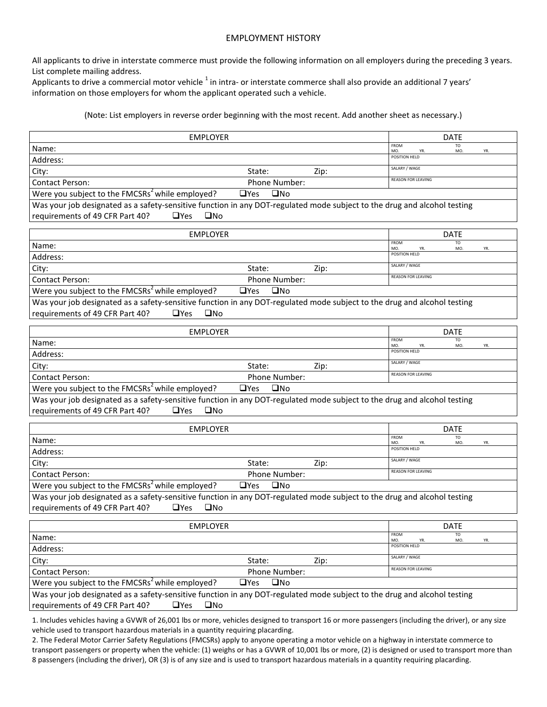### EMPLOYMENT HISTORY

All applicants to drive in interstate commerce must provide the following information on all employers during the preceding 3 years. List complete mailing address.

Applicants to drive a commercial motor vehicle  $^1$  in intra- or interstate commerce shall also provide an additional 7 years' information on those employers for whom the applicant operated such a vehicle.

### (Note: List employers in reverse order beginning with the most recent. Add another sheet as necessary.)

| <b>EMPLOYER</b>                                                                                                          |               |                           | <b>DATE</b>                   |     |
|--------------------------------------------------------------------------------------------------------------------------|---------------|---------------------------|-------------------------------|-----|
| Name:                                                                                                                    |               | FROM<br>MO.               | TO<br>MO                      | YR. |
| Address:                                                                                                                 |               | POSITION HELD             |                               |     |
| City:<br>State:                                                                                                          | Zip:          | SALARY / WAGE             |                               |     |
| <b>Contact Person:</b>                                                                                                   | Phone Number: | <b>REASON FOR LEAVING</b> |                               |     |
| Were you subject to the FMCSRs <sup>2</sup> while employed?<br>$\Box$ Yes                                                | $\square$ No  |                           |                               |     |
| Was your job designated as a safety-sensitive function in any DOT-regulated mode subject to the drug and alcohol testing |               |                           |                               |     |
| requirements of 49 CFR Part 40?<br>$\Box$ Yes<br>$\square$ No                                                            |               |                           |                               |     |
|                                                                                                                          |               |                           |                               |     |
| <b>EMPLOYER</b>                                                                                                          |               | FROM                      | <b>DATE</b><br>TO             |     |
| Name:                                                                                                                    |               | MO.<br>POSITION HELD      | MO.                           | YR. |
| Address:                                                                                                                 |               | SALARY / WAGE             |                               |     |
| City:<br>State:                                                                                                          | Zip:          | <b>REASON FOR LEAVING</b> |                               |     |
| <b>Contact Person:</b>                                                                                                   | Phone Number: |                           |                               |     |
| Were you subject to the FMCSRs <sup>2</sup> while employed?<br>$\Box$ Yes                                                | <b>UNO</b>    |                           |                               |     |
| Was your job designated as a safety-sensitive function in any DOT-regulated mode subject to the drug and alcohol testing |               |                           |                               |     |
| requirements of 49 CFR Part 40?<br>$\square$ No<br>$\Box$ Yes                                                            |               |                           |                               |     |
| <b>EMPLOYER</b>                                                                                                          |               |                           | <b>DATE</b>                   |     |
| Name:                                                                                                                    |               | FROM<br>MO.               | TO<br>MO.                     | YR. |
| Address:                                                                                                                 |               | POSITION HELD             |                               |     |
| City:<br>State:                                                                                                          | Zip:          | SALARY / WAGE             |                               |     |
| <b>Contact Person:</b>                                                                                                   | Phone Number: | <b>REASON FOR LEAVING</b> |                               |     |
| Were you subject to the FMCSRs <sup>2</sup> while employed?<br>$\Box$ Yes                                                | $\square$ No  |                           |                               |     |
| Was your job designated as a safety-sensitive function in any DOT-regulated mode subject to the drug and alcohol testing |               |                           |                               |     |
| requirements of 49 CFR Part 40?<br>$\Box$ Yes<br>$\square$ No                                                            |               |                           |                               |     |
|                                                                                                                          |               |                           |                               |     |
| <b>EMPLOYER</b>                                                                                                          |               | FROM                      | <b>DATE</b><br>T <sub>O</sub> |     |
| Name:                                                                                                                    |               | MO.<br>POSITION HELD      | MO.                           | YR. |
| Address:                                                                                                                 |               | SALARY / WAGE             |                               |     |
| City:<br>State:                                                                                                          | Zip:          | <b>REASON FOR LEAVING</b> |                               |     |
| <b>Contact Person:</b>                                                                                                   | Phone Number: |                           |                               |     |
| Were you subject to the FMCSRs <sup>2</sup> while employed?<br>$\Box$ Yes                                                | $\square$ No  |                           |                               |     |
| Was your job designated as a safety-sensitive function in any DOT-regulated mode subject to the drug and alcohol testing |               |                           |                               |     |
| requirements of 49 CFR Part 40?<br>$\square$ No<br>$\Box$ Yes                                                            |               |                           |                               |     |
| <b>EMPLOYER</b>                                                                                                          |               |                           | <b>DATE</b>                   |     |
| Name:                                                                                                                    |               | <b>FROM</b>               |                               |     |
| Address:                                                                                                                 |               | MO.<br>POSITION HELD      | MO.                           | YR. |
| City:<br>State:                                                                                                          | Zip:          | SALARY / WAGE             |                               |     |
| Contact Person:                                                                                                          | Phone Number: | <b>REASON FOR LEAVING</b> |                               |     |
| Were you subject to the FMCSRs <sup>2</sup> while employed?<br>$\Box$ Yes                                                | $\square$ No  |                           |                               |     |
| Was your job designated as a safety-sensitive function in any DOT-regulated mode subject to the drug and alcohol testing |               |                           |                               |     |
| requirements of 49 CFR Part 40?<br>$\Box$ Yes<br>$\square$ No                                                            |               |                           |                               |     |
|                                                                                                                          |               |                           |                               |     |

1. Includes vehicles having a GVWR of 26,001 lbs or more, vehicles designed to transport 16 or more passengers (including the driver), or any size vehicle used to transport hazardous materials in a quantity requiring placarding.

2. The Federal Motor Carrier Safety Regulations (FMCSRs) apply to anyone operating a motor vehicle on a highway in interstate commerce to transport passengers or property when the vehicle: (1) weighs or has a GVWR of 10,001 lbs or more, (2) is designed or used to transport more than 8 passengers (including the driver), OR (3) is of any size and is used to transport hazardous materials in a quantity requiring placarding.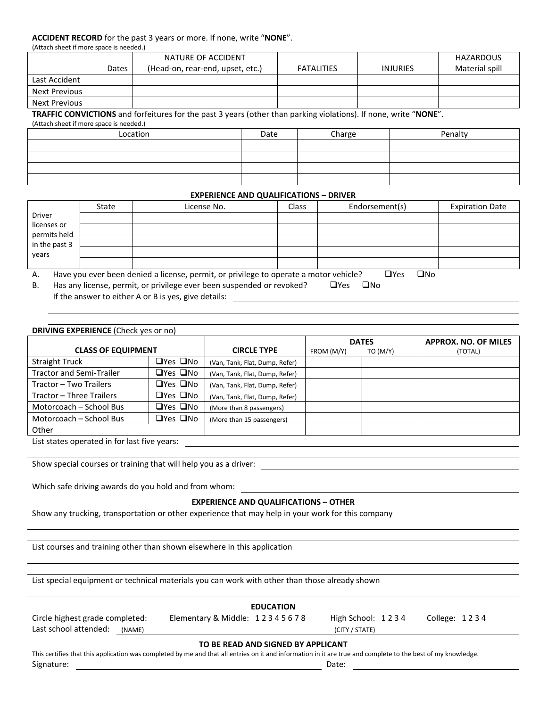#### **ACCIDENT RECORD** for the past 3 years or more. If none, write "**NONE**".

| (Attach sheet if more space is needed.) |       |                                  |                   |                 |                  |  |  |  |
|-----------------------------------------|-------|----------------------------------|-------------------|-----------------|------------------|--|--|--|
|                                         |       | NATURE OF ACCIDENT               |                   |                 | <b>HAZARDOUS</b> |  |  |  |
|                                         | Dates | (Head-on, rear-end, upset, etc.) | <b>FATALITIES</b> | <b>INJURIES</b> | Material spill   |  |  |  |
| Last Accident                           |       |                                  |                   |                 |                  |  |  |  |
| Next Previous                           |       |                                  |                   |                 |                  |  |  |  |
| Next Previous                           |       |                                  |                   |                 |                  |  |  |  |

**TRAFFIC CONVICTIONS** and forfeitures for the past 3 years (other than parking violations). If none, write "**NONE**".

(Attach sheet if more space is needed.)

| Location | Date | Charge | Penalty |
|----------|------|--------|---------|
|          |      |        |         |
|          |      |        |         |
|          |      |        |         |
|          |      |        |         |

#### **EXPERIENCE AND QUALIFICATIONS – DRIVER**

|                               | State | License No.                                                                          | Class | Endorsement(s) | <b>Expiration Date</b> |
|-------------------------------|-------|--------------------------------------------------------------------------------------|-------|----------------|------------------------|
| <b>Driver</b>                 |       |                                                                                      |       |                |                        |
| licenses or                   |       |                                                                                      |       |                |                        |
| permits held<br>in the past 3 |       |                                                                                      |       |                |                        |
| years                         |       |                                                                                      |       |                |                        |
|                               |       |                                                                                      |       |                |                        |
|                               |       | Have you ever been denied a license, permit or privilege to operate a motor vehicle? |       | ∩וב<br>JYes    |                        |

 $\nu$ e you ever been denied a license, permit, or privilege to operate a motor vehicle?  $\Box$  Yes

B. Has any license, permit, or privilege ever been suspended or revoked?  $\Box$  Yes  $\Box$  No If the answer to either A or B is yes, give details:

| <b>DRIVING EXPERIENCE (Check yes or no)</b> |                      |                                |            |              |                             |  |  |
|---------------------------------------------|----------------------|--------------------------------|------------|--------------|-----------------------------|--|--|
|                                             |                      |                                |            | <b>DATES</b> | <b>APPROX. NO. OF MILES</b> |  |  |
| <b>CLASS OF EQUIPMENT</b>                   |                      | <b>CIRCLE TYPE</b>             | FROM (M/Y) | TO (M/Y)     | (TOTAL)                     |  |  |
| <b>Straight Truck</b>                       | $\Box$ Yes $\Box$ No | (Van, Tank, Flat, Dump, Refer) |            |              |                             |  |  |
| <b>Tractor and Semi-Trailer</b>             | □Yes □No             | (Van, Tank, Flat, Dump, Refer) |            |              |                             |  |  |
| Tractor - Two Trailers                      | $\Box$ Yes $\Box$ No | (Van, Tank, Flat, Dump, Refer) |            |              |                             |  |  |
| Tractor - Three Trailers                    | □Yes □No             | (Van, Tank, Flat, Dump, Refer) |            |              |                             |  |  |
| Motorcoach - School Bus                     | $\Box$ Yes $\Box$ No | (More than 8 passengers)       |            |              |                             |  |  |
| Motorcoach - School Bus                     | □Yes □No             | (More than 15 passengers)      |            |              |                             |  |  |
| Other                                       |                      |                                |            |              |                             |  |  |

List states operated in for last five years:

Show special courses or training that will help you as a driver:

Which safe driving awards do you hold and from whom:

#### **EXPERIENCE AND QUALIFICATIONS – OTHER**

Show any trucking, transportation or other experience that may help in your work for this company

List courses and training other than shown elsewhere in this application

List special equipment or technical materials you can work with other than those already shown

| <b>EDUCATION</b>                                                                                                                                                                                   |                               |                   |                 |  |  |  |  |
|----------------------------------------------------------------------------------------------------------------------------------------------------------------------------------------------------|-------------------------------|-------------------|-----------------|--|--|--|--|
| Circle highest grade completed:                                                                                                                                                                    | Elementary & Middle: 12345678 | High School: 1234 | College: $1234$ |  |  |  |  |
| Last school attended:<br>(NAME)                                                                                                                                                                    |                               | (CITY / STATE)    |                 |  |  |  |  |
| TO BE READ AND SIGNED BY APPLICANT<br>This certifies that this application was completed by me and that all entries on it and information in it are true and complete to the best of my knowledge. |                               |                   |                 |  |  |  |  |
| Signature:                                                                                                                                                                                         |                               | Date:             |                 |  |  |  |  |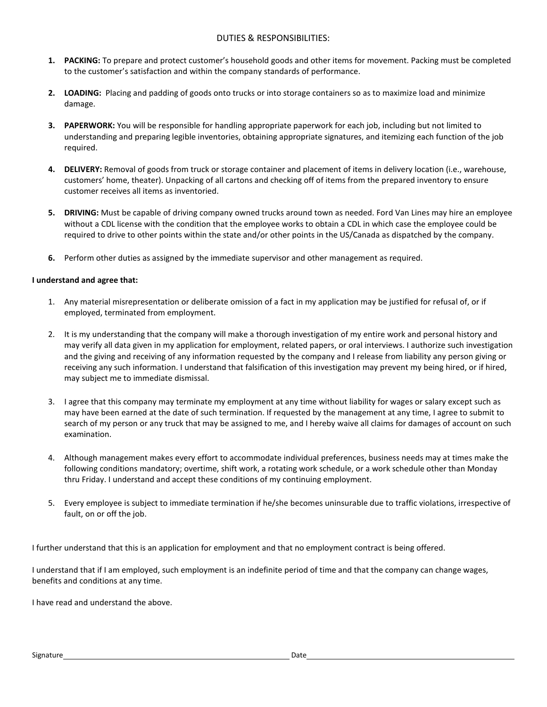## DUTIES & RESPONSIBILITIES:

- **1. PACKING:** To prepare and protect customer's household goods and other items for movement. Packing must be completed to the customer's satisfaction and within the company standards of performance.
- **2. LOADING:** Placing and padding of goods onto trucks or into storage containers so as to maximize load and minimize damage.
- **3. PAPERWORK:** You will be responsible for handling appropriate paperwork for each job, including but not limited to understanding and preparing legible inventories, obtaining appropriate signatures, and itemizing each function of the job required.
- **4. DELIVERY:** Removal of goods from truck or storage container and placement of items in delivery location (i.e., warehouse, customers' home, theater). Unpacking of all cartons and checking off of items from the prepared inventory to ensure customer receives all items as inventoried.
- **5. DRIVING:** Must be capable of driving company owned trucks around town as needed. Ford Van Lines may hire an employee without a CDL license with the condition that the employee works to obtain a CDL in which case the employee could be required to drive to other points within the state and/or other points in the US/Canada as dispatched by the company.
- **6.** Perform other duties as assigned by the immediate supervisor and other management as required.

## **I understand and agree that:**

- 1. Any material misrepresentation or deliberate omission of a fact in my application may be justified for refusal of, or if employed, terminated from employment.
- 2. It is my understanding that the company will make a thorough investigation of my entire work and personal history and may verify all data given in my application for employment, related papers, or oral interviews. I authorize such investigation and the giving and receiving of any information requested by the company and I release from liability any person giving or receiving any such information. I understand that falsification of this investigation may prevent my being hired, or if hired, may subject me to immediate dismissal.
- 3. I agree that this company may terminate my employment at any time without liability for wages or salary except such as may have been earned at the date of such termination. If requested by the management at any time, I agree to submit to search of my person or any truck that may be assigned to me, and I hereby waive all claims for damages of account on such examination.
- 4. Although management makes every effort to accommodate individual preferences, business needs may at times make the following conditions mandatory; overtime, shift work, a rotating work schedule, or a work schedule other than Monday thru Friday. I understand and accept these conditions of my continuing employment.
- 5. Every employee is subject to immediate termination if he/she becomes uninsurable due to traffic violations, irrespective of fault, on or off the job.

I further understand that this is an application for employment and that no employment contract is being offered.

I understand that if I am employed, such employment is an indefinite period of time and that the company can change wages, benefits and conditions at any time.

I have read and understand the above.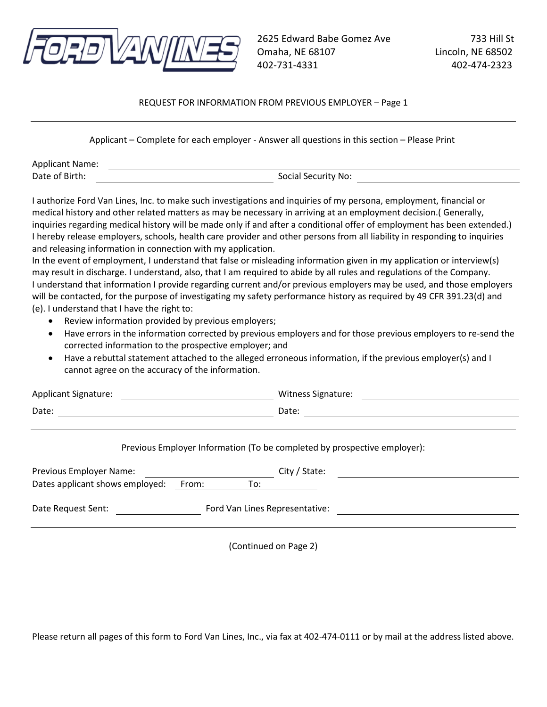

# REQUEST FOR INFORMATION FROM PREVIOUS EMPLOYER – Page 1

Applicant – Complete for each employer - Answer all questions in this section – Please Print

| <b>Applicant Name:</b> |                     |
|------------------------|---------------------|
| Date of Birth:         | Social Security No: |

I authorize Ford Van Lines, Inc. to make such investigations and inquiries of my persona, employment, financial or medical history and other related matters as may be necessary in arriving at an employment decision.( Generally, inquiries regarding medical history will be made only if and after a conditional offer of employment has been extended.) I hereby release employers, schools, health care provider and other persons from all liability in responding to inquiries and releasing information in connection with my application.

In the event of employment, I understand that false or misleading information given in my application or interview(s) may result in discharge. I understand, also, that I am required to abide by all rules and regulations of the Company. I understand that information I provide regarding current and/or previous employers may be used, and those employers will be contacted, for the purpose of investigating my safety performance history as required by 49 CFR 391.23(d) and (e). I understand that I have the right to:

- Review information provided by previous employers;
- Have errors in the information corrected by previous employers and for those previous employers to re-send the corrected information to the prospective employer; and
- Have a rebuttal statement attached to the alleged erroneous information, if the previous employer(s) and I cannot agree on the accuracy of the information.

| <b>Applicant Signature:</b> | <b>Witness Signature:</b> |
|-----------------------------|---------------------------|
| Date:                       | Date:                     |

### Previous Employer Information (To be completed by prospective employer):

| Previous Employer Name:         |       |     | City / State:                  |
|---------------------------------|-------|-----|--------------------------------|
| Dates applicant shows employed: | From: | To: |                                |
| Date Request Sent:              |       |     | Ford Van Lines Representative: |
|                                 |       |     |                                |

(Continued on Page 2)

Please return all pages of this form to Ford Van Lines, Inc., via fax at 402-474-0111 or by mail at the address listed above.